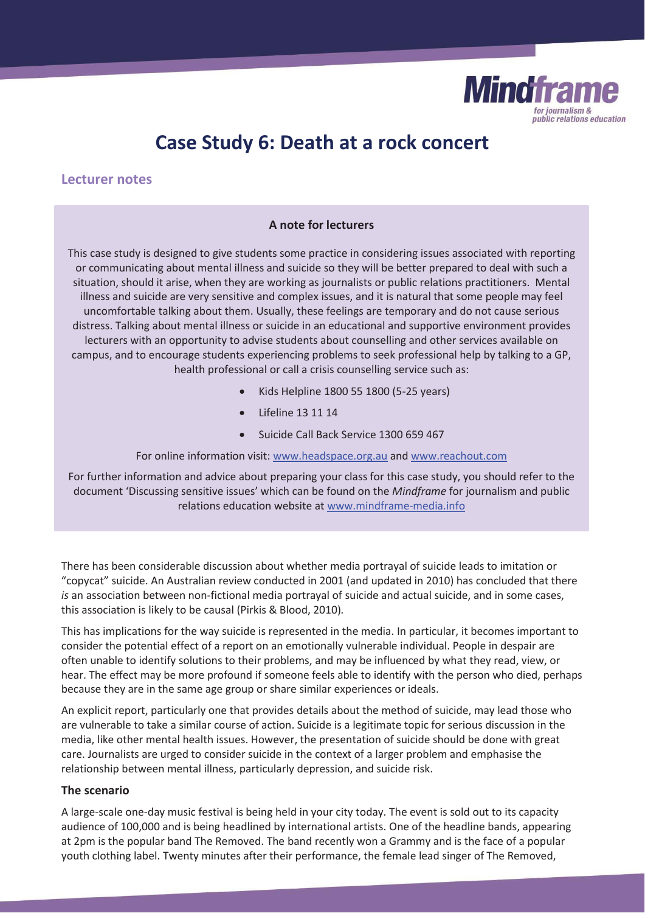

# **Case Study 6: Death at a rock concert**

# **Lecturer notes**

## **A note for lecturers**

This case study is designed to give students some practice in considering issues associated with reporting or communicating about mental illness and suicide so they will be better prepared to deal with such a situation, should it arise, when they are working as journalists or public relations practitioners. Mental illness and suicide are very sensitive and complex issues, and it is natural that some people may feel uncomfortable talking about them. Usually, these feelings are temporary and do not cause serious distress. Talking about mental illness or suicide in an educational and supportive environment provides lecturers with an opportunity to advise students about counselling and other services available on campus, and to encourage students experiencing problems to seek professional help by talking to a GP, health professional or call a crisis counselling service such as:

- x Kids Helpline 1800 55 1800 (5-25 years)
- Lifeline 13 11 14
- x Suicide Call Back Service 1300 659 467

For online information visit: www.headspace.org.au and www.reachout.com

For further information and advice about preparing your class for this case study, you should refer to the document 'Discussing sensitive issues' which can be found on the *Mindframe* for journalism and public relations education website at www.mindframe-media.info

There has been considerable discussion about whether media portrayal of suicide leads to imitation or "copycat" suicide. An Australian review conducted in 2001 (and updated in 2010) has concluded that there *is* an association between non-fictional media portrayal of suicide and actual suicide, and in some cases, this association is likely to be causal (Pirkis & Blood, 2010)*.* 

This has implications for the way suicide is represented in the media. In particular, it becomes important to consider the potential effect of a report on an emotionally vulnerable individual. People in despair are often unable to identify solutions to their problems, and may be influenced by what they read, view, or hear. The effect may be more profound if someone feels able to identify with the person who died, perhaps because they are in the same age group or share similar experiences or ideals.

An explicit report, particularly one that provides details about the method of suicide, may lead those who are vulnerable to take a similar course of action. Suicide is a legitimate topic for serious discussion in the media, like other mental health issues. However, the presentation of suicide should be done with great care. Journalists are urged to consider suicide in the context of a larger problem and emphasise the relationship between mental illness, particularly depression, and suicide risk.

#### **The scenario**

A large-scale one-day music festival is being held in your city today. The event is sold out to its capacity audience of 100,000 and is being headlined by international artists. One of the headline bands, appearing at 2pm is the popular band The Removed. The band recently won a Grammy and is the face of a popular youth clothing label. Twenty minutes after their performance, the female lead singer of The Removed,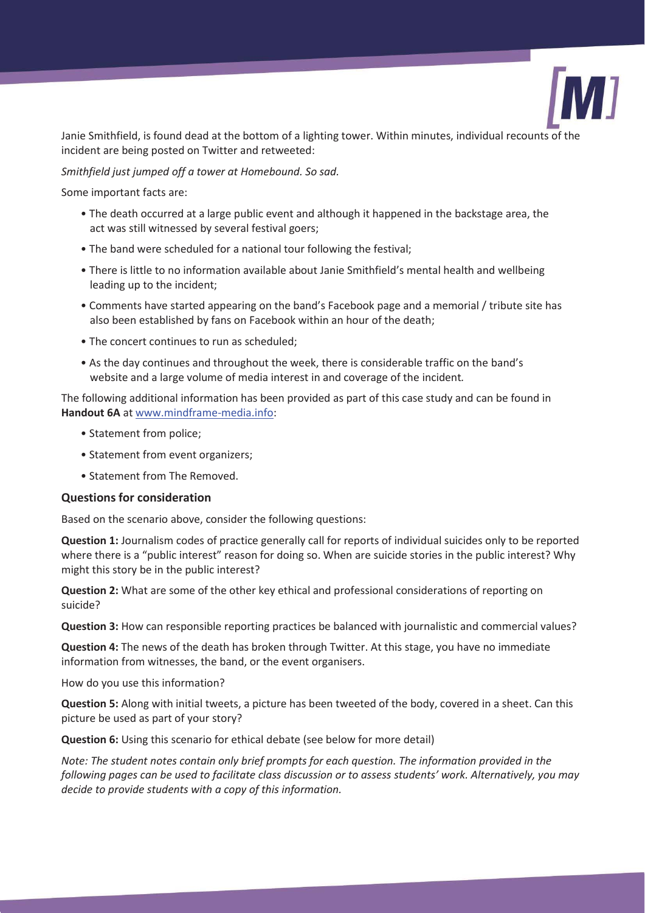

Janie Smithfield, is found dead at the bottom of a lighting tower. Within minutes, individual recounts of the incident are being posted on Twitter and retweeted:

## *Smithfield just jumped off a tower at Homebound. So sad.*

Some important facts are:

- The death occurred at a large public event and although it happened in the backstage area, the act was still witnessed by several festival goers;
- The band were scheduled for a national tour following the festival;
- There is little to no information available about Janie Smithfield's mental health and wellbeing leading up to the incident;
- Comments have started appearing on the band's Facebook page and a memorial / tribute site has also been established by fans on Facebook within an hour of the death;
- The concert continues to run as scheduled;
- As the day continues and throughout the week, there is considerable traffic on the band's website and a large volume of media interest in and coverage of the incident*.*

The following additional information has been provided as part of this case study and can be found in **Handout 6A** at www.mindframe-media.info:

- Statement from police;
- Statement from event organizers;
- Statement from The Removed.

## **Questions for consideration**

Based on the scenario above, consider the following questions:

**Question 1:** Journalism codes of practice generally call for reports of individual suicides only to be reported where there is a "public interest" reason for doing so. When are suicide stories in the public interest? Why might this story be in the public interest?

**Question 2:** What are some of the other key ethical and professional considerations of reporting on suicide?

**Question 3:** How can responsible reporting practices be balanced with journalistic and commercial values?

**Question 4:** The news of the death has broken through Twitter. At this stage, you have no immediate information from witnesses, the band, or the event organisers.

How do you use this information?

**Question 5:** Along with initial tweets, a picture has been tweeted of the body, covered in a sheet. Can this picture be used as part of your story?

**Question 6:** Using this scenario for ethical debate (see below for more detail)

*Note: The student notes contain only brief prompts for each question. The information provided in the following pages can be used to facilitate class discussion or to assess students' work. Alternatively, you may decide to provide students with a copy of this information.*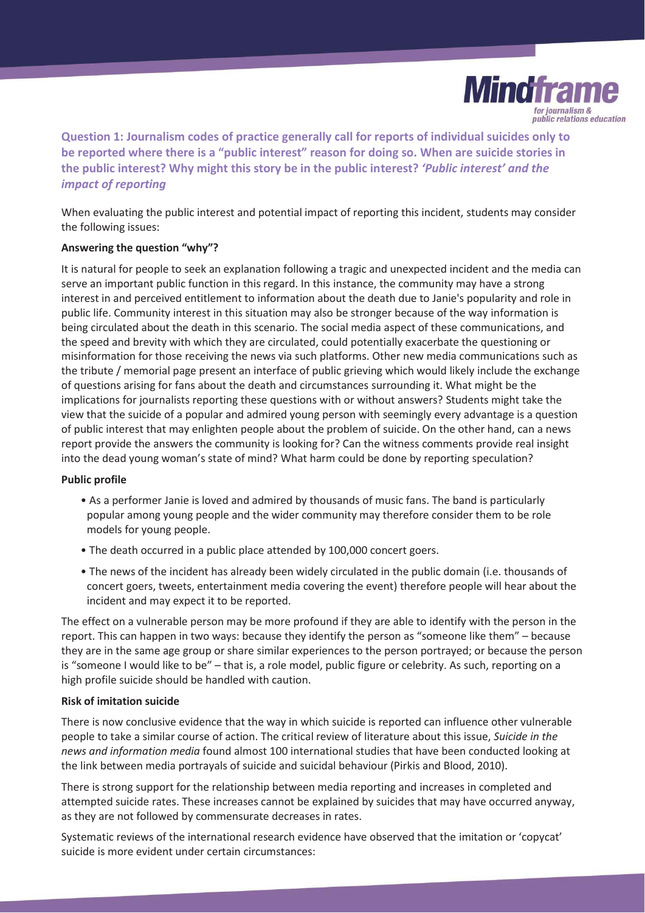

**Question 1: Journalism codes of practice generally call for reports of individual suicides only to be reported where there is a "public interest" reason for doing so. When are suicide stories in the public interest? Why might this story be in the public interest?** *'Public interest' and the impact of reporting*

When evaluating the public interest and potential impact of reporting this incident, students may consider the following issues:

## **Answering the question "why"?**

It is natural for people to seek an explanation following a tragic and unexpected incident and the media can serve an important public function in this regard. In this instance, the community may have a strong interest in and perceived entitlement to information about the death due to Janie's popularity and role in public life. Community interest in this situation may also be stronger because of the way information is being circulated about the death in this scenario. The social media aspect of these communications, and the speed and brevity with which they are circulated, could potentially exacerbate the questioning or misinformation for those receiving the news via such platforms. Other new media communications such as the tribute / memorial page present an interface of public grieving which would likely include the exchange of questions arising for fans about the death and circumstances surrounding it. What might be the implications for journalists reporting these questions with or without answers? Students might take the view that the suicide of a popular and admired young person with seemingly every advantage is a question of public interest that may enlighten people about the problem of suicide. On the other hand, can a news report provide the answers the community is looking for? Can the witness comments provide real insight into the dead young woman's state of mind? What harm could be done by reporting speculation?

#### **Public profile**

- As a performer Janie is loved and admired by thousands of music fans. The band is particularly popular among young people and the wider community may therefore consider them to be role models for young people.
- The death occurred in a public place attended by 100,000 concert goers.
- The news of the incident has already been widely circulated in the public domain (i.e. thousands of concert goers, tweets, entertainment media covering the event) therefore people will hear about the incident and may expect it to be reported.

The effect on a vulnerable person may be more profound if they are able to identify with the person in the report. This can happen in two ways: because they identify the person as "someone like them" – because they are in the same age group or share similar experiences to the person portrayed; or because the person is "someone I would like to be" – that is, a role model, public figure or celebrity. As such, reporting on a high profile suicide should be handled with caution.

#### **Risk of imitation suicide**

There is now conclusive evidence that the way in which suicide is reported can influence other vulnerable people to take a similar course of action. The critical review of literature about this issue, *Suicide in the news and information media* found almost 100 international studies that have been conducted looking at the link between media portrayals of suicide and suicidal behaviour (Pirkis and Blood, 2010).

There is strong support for the relationship between media reporting and increases in completed and attempted suicide rates. These increases cannot be explained by suicides that may have occurred anyway, as they are not followed by commensurate decreases in rates.

Systematic reviews of the international research evidence have observed that the imitation or 'copycat' suicide is more evident under certain circumstances: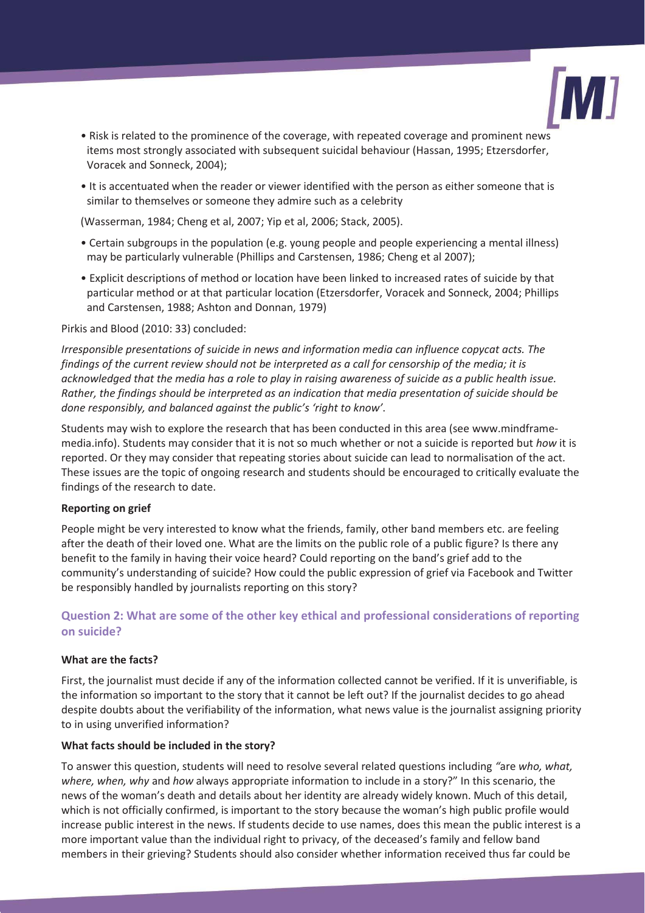

- Risk is related to the prominence of the coverage, with repeated coverage and prominent news items most strongly associated with subsequent suicidal behaviour (Hassan, 1995; Etzersdorfer, Voracek and Sonneck, 2004);
- It is accentuated when the reader or viewer identified with the person as either someone that is similar to themselves or someone they admire such as a celebrity

(Wasserman, 1984; Cheng et al, 2007; Yip et al, 2006; Stack, 2005).

- Certain subgroups in the population (e.g. young people and people experiencing a mental illness) may be particularly vulnerable (Phillips and Carstensen, 1986; Cheng et al 2007);
- Explicit descriptions of method or location have been linked to increased rates of suicide by that particular method or at that particular location (Etzersdorfer, Voracek and Sonneck, 2004; Phillips and Carstensen, 1988; Ashton and Donnan, 1979)

Pirkis and Blood (2010: 33) concluded:

*Irresponsible presentations of suicide in news and information media can influence copycat acts. The findings of the current review should not be interpreted as a call for censorship of the media; it is acknowledged that the media has a role to play in raising awareness of suicide as a public health issue. Rather, the findings should be interpreted as an indication that media presentation of suicide should be done responsibly, and balanced against the public's 'right to know'*.

Students may wish to explore the research that has been conducted in this area (see www.mindframemedia.info). Students may consider that it is not so much whether or not a suicide is reported but *how* it is reported. Or they may consider that repeating stories about suicide can lead to normalisation of the act. These issues are the topic of ongoing research and students should be encouraged to critically evaluate the findings of the research to date.

#### **Reporting on grief**

People might be very interested to know what the friends, family, other band members etc. are feeling after the death of their loved one. What are the limits on the public role of a public figure? Is there any benefit to the family in having their voice heard? Could reporting on the band's grief add to the community's understanding of suicide? How could the public expression of grief via Facebook and Twitter be responsibly handled by journalists reporting on this story?

# **Question 2: What are some of the other key ethical and professional considerations of reporting on suicide?**

#### **What are the facts?**

First, the journalist must decide if any of the information collected cannot be verified. If it is unverifiable, is the information so important to the story that it cannot be left out? If the journalist decides to go ahead despite doubts about the verifiability of the information, what news value is the journalist assigning priority to in using unverified information?

#### **What facts should be included in the story?**

To answer this question, students will need to resolve several related questions including *"*are *who, what, where, when, why* and *how* always appropriate information to include in a story?" In this scenario, the news of the woman's death and details about her identity are already widely known. Much of this detail, which is not officially confirmed, is important to the story because the woman's high public profile would increase public interest in the news. If students decide to use names, does this mean the public interest is a more important value than the individual right to privacy, of the deceased's family and fellow band members in their grieving? Students should also consider whether information received thus far could be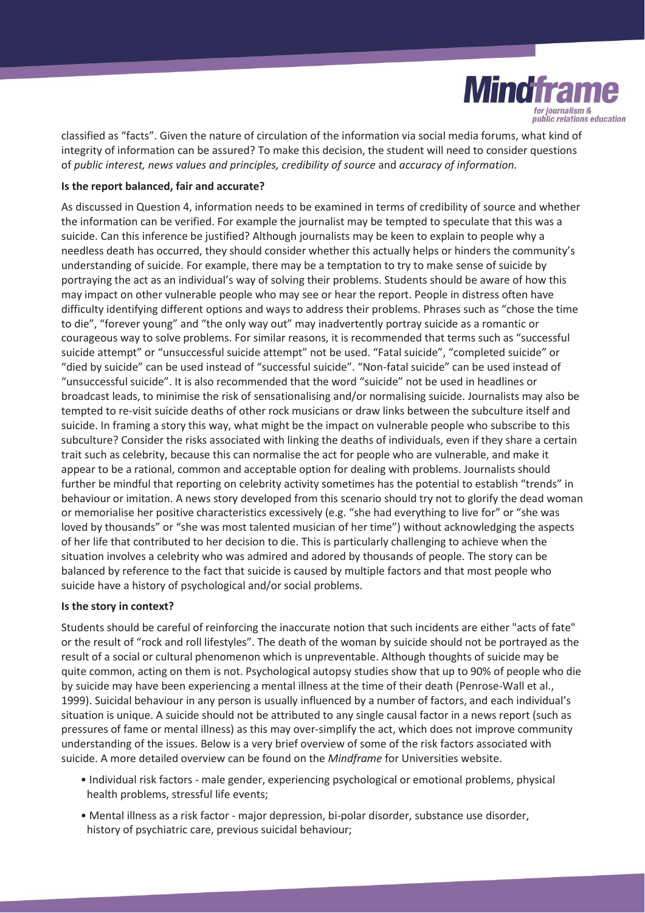

classified as "facts". Given the nature of circulation of the information via social media forums, what kind of integrity of information can be assured? To make this decision, the student will need to consider questions of *public interest, news values and principles, credibility of source* and *accuracy of information.*

#### **Is the report balanced, fair and accurate?**

As discussed in Question 4, information needs to be examined in terms of credibility of source and whether the information can be verified. For example the journalist may be tempted to speculate that this was a suicide. Can this inference be justified? Although journalists may be keen to explain to people why a needless death has occurred, they should consider whether this actually helps or hinders the community's understanding of suicide. For example, there may be a temptation to try to make sense of suicide by portraying the act as an individual's way of solving their problems. Students should be aware of how this may impact on other vulnerable people who may see or hear the report. People in distress often have difficulty identifying different options and ways to address their problems. Phrases such as "chose the time to die", "forever young" and "the only way out" may inadvertently portray suicide as a romantic or courageous way to solve problems. For similar reasons, it is recommended that terms such as "successful suicide attempt" or "unsuccessful suicide attempt" not be used. "Fatal suicide", "completed suicide" or "died by suicide" can be used instead of "successful suicide". "Non-fatal suicide" can be used instead of "unsuccessful suicide". It is also recommended that the word "suicide" not be used in headlines or broadcast leads, to minimise the risk of sensationalising and/or normalising suicide. Journalists may also be tempted to re-visit suicide deaths of other rock musicians or draw links between the subculture itself and suicide. In framing a story this way, what might be the impact on vulnerable people who subscribe to this subculture? Consider the risks associated with linking the deaths of individuals, even if they share a certain trait such as celebrity, because this can normalise the act for people who are vulnerable, and make it appear to be a rational, common and acceptable option for dealing with problems. Journalists should further be mindful that reporting on celebrity activity sometimes has the potential to establish "trends" in behaviour or imitation. A news story developed from this scenario should try not to glorify the dead woman or memorialise her positive characteristics excessively (e.g. "she had everything to live for" or "she was loved by thousands" or "she was most talented musician of her time") without acknowledging the aspects of her life that contributed to her decision to die. This is particularly challenging to achieve when the situation involves a celebrity who was admired and adored by thousands of people. The story can be balanced by reference to the fact that suicide is caused by multiple factors and that most people who suicide have a history of psychological and/or social problems.

#### **Is the story in context?**

Students should be careful of reinforcing the inaccurate notion that such incidents are either "acts of fate" or the result of "rock and roll lifestyles". The death of the woman by suicide should not be portrayed as the result of a social or cultural phenomenon which is unpreventable. Although thoughts of suicide may be quite common, acting on them is not. Psychological autopsy studies show that up to 90% of people who die by suicide may have been experiencing a mental illness at the time of their death (Penrose-Wall et al., 1999). Suicidal behaviour in any person is usually influenced by a number of factors, and each individual's situation is unique. A suicide should not be attributed to any single causal factor in a news report (such as pressures of fame or mental illness) as this may over-simplify the act, which does not improve community understanding of the issues. Below is a very brief overview of some of the risk factors associated with suicide. A more detailed overview can be found on the *Mindframe* for Universities website.

- Individual risk factors male gender, experiencing psychological or emotional problems, physical health problems, stressful life events;
- Mental illness as a risk factor major depression, bi-polar disorder, substance use disorder, history of psychiatric care, previous suicidal behaviour;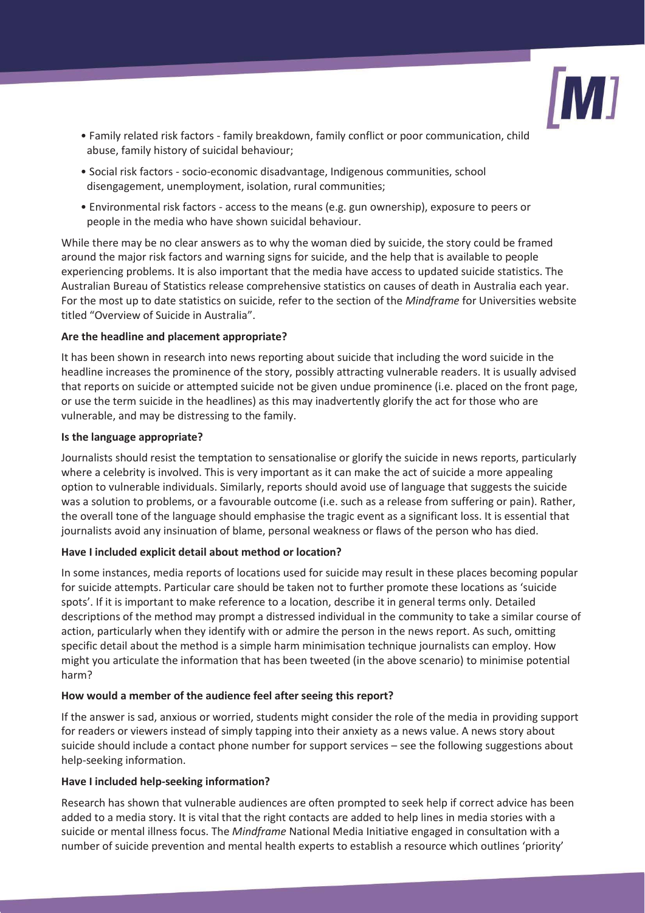

- Family related risk factors family breakdown, family conflict or poor communication, child abuse, family history of suicidal behaviour;
- Social risk factors socio-economic disadvantage, Indigenous communities, school disengagement, unemployment, isolation, rural communities;
- Environmental risk factors access to the means (e.g. gun ownership), exposure to peers or people in the media who have shown suicidal behaviour.

While there may be no clear answers as to why the woman died by suicide, the story could be framed around the major risk factors and warning signs for suicide, and the help that is available to people experiencing problems. It is also important that the media have access to updated suicide statistics. The Australian Bureau of Statistics release comprehensive statistics on causes of death in Australia each year. For the most up to date statistics on suicide, refer to the section of the *Mindframe* for Universities website titled "Overview of Suicide in Australia".

## **Are the headline and placement appropriate?**

It has been shown in research into news reporting about suicide that including the word suicide in the headline increases the prominence of the story, possibly attracting vulnerable readers. It is usually advised that reports on suicide or attempted suicide not be given undue prominence (i.e. placed on the front page, or use the term suicide in the headlines) as this may inadvertently glorify the act for those who are vulnerable, and may be distressing to the family.

## **Is the language appropriate?**

Journalists should resist the temptation to sensationalise or glorify the suicide in news reports, particularly where a celebrity is involved. This is very important as it can make the act of suicide a more appealing option to vulnerable individuals. Similarly, reports should avoid use of language that suggests the suicide was a solution to problems, or a favourable outcome (i.e. such as a release from suffering or pain). Rather, the overall tone of the language should emphasise the tragic event as a significant loss. It is essential that journalists avoid any insinuation of blame, personal weakness or flaws of the person who has died.

# **Have I included explicit detail about method or location?**

In some instances, media reports of locations used for suicide may result in these places becoming popular for suicide attempts. Particular care should be taken not to further promote these locations as 'suicide spots'. If it is important to make reference to a location, describe it in general terms only. Detailed descriptions of the method may prompt a distressed individual in the community to take a similar course of action, particularly when they identify with or admire the person in the news report. As such, omitting specific detail about the method is a simple harm minimisation technique journalists can employ. How might you articulate the information that has been tweeted (in the above scenario) to minimise potential harm?

## **How would a member of the audience feel after seeing this report?**

If the answer is sad, anxious or worried, students might consider the role of the media in providing support for readers or viewers instead of simply tapping into their anxiety as a news value. A news story about suicide should include a contact phone number for support services – see the following suggestions about help-seeking information.

## **Have I included help-seeking information?**

Research has shown that vulnerable audiences are often prompted to seek help if correct advice has been added to a media story. It is vital that the right contacts are added to help lines in media stories with a suicide or mental illness focus. The *Mindframe* National Media Initiative engaged in consultation with a number of suicide prevention and mental health experts to establish a resource which outlines 'priority'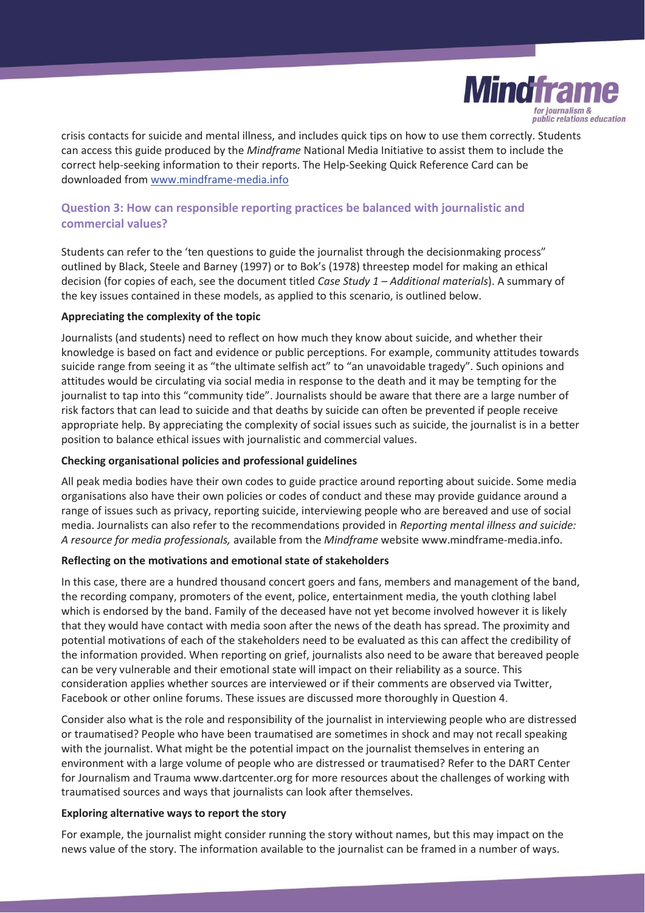

crisis contacts for suicide and mental illness, and includes quick tips on how to use them correctly. Students can access this guide produced by the *Mindframe* National Media Initiative to assist them to include the correct help-seeking information to their reports. The Help-Seeking Quick Reference Card can be downloaded from www.mindframe-media.info

# **Question 3: How can responsible reporting practices be balanced with journalistic and commercial values?**

Students can refer to the 'ten questions to guide the journalist through the decisionmaking process" outlined by Black, Steele and Barney (1997) or to Bok's (1978) threestep model for making an ethical decision (for copies of each, see the document titled *Case Study 1 – Additional materials*). A summary of the key issues contained in these models, as applied to this scenario, is outlined below.

## **Appreciating the complexity of the topic**

Journalists (and students) need to reflect on how much they know about suicide, and whether their knowledge is based on fact and evidence or public perceptions. For example, community attitudes towards suicide range from seeing it as "the ultimate selfish act" to "an unavoidable tragedy". Such opinions and attitudes would be circulating via social media in response to the death and it may be tempting for the journalist to tap into this "community tide". Journalists should be aware that there are a large number of risk factors that can lead to suicide and that deaths by suicide can often be prevented if people receive appropriate help. By appreciating the complexity of social issues such as suicide, the journalist is in a better position to balance ethical issues with journalistic and commercial values.

## **Checking organisational policies and professional guidelines**

All peak media bodies have their own codes to guide practice around reporting about suicide. Some media organisations also have their own policies or codes of conduct and these may provide guidance around a range of issues such as privacy, reporting suicide, interviewing people who are bereaved and use of social media. Journalists can also refer to the recommendations provided in *Reporting mental illness and suicide: A resource for media professionals,* available from the *Mindframe* website www.mindframe-media.info.

## **Reflecting on the motivations and emotional state of stakeholders**

In this case, there are a hundred thousand concert goers and fans, members and management of the band, the recording company, promoters of the event, police, entertainment media, the youth clothing label which is endorsed by the band. Family of the deceased have not yet become involved however it is likely that they would have contact with media soon after the news of the death has spread. The proximity and potential motivations of each of the stakeholders need to be evaluated as this can affect the credibility of the information provided. When reporting on grief, journalists also need to be aware that bereaved people can be very vulnerable and their emotional state will impact on their reliability as a source. This consideration applies whether sources are interviewed or if their comments are observed via Twitter, Facebook or other online forums. These issues are discussed more thoroughly in Question 4.

Consider also what is the role and responsibility of the journalist in interviewing people who are distressed or traumatised? People who have been traumatised are sometimes in shock and may not recall speaking with the journalist. What might be the potential impact on the journalist themselves in entering an environment with a large volume of people who are distressed or traumatised? Refer to the DART Center for Journalism and Trauma www.dartcenter.org for more resources about the challenges of working with traumatised sources and ways that journalists can look after themselves.

## **Exploring alternative ways to report the story**

For example, the journalist might consider running the story without names, but this may impact on the news value of the story. The information available to the journalist can be framed in a number of ways.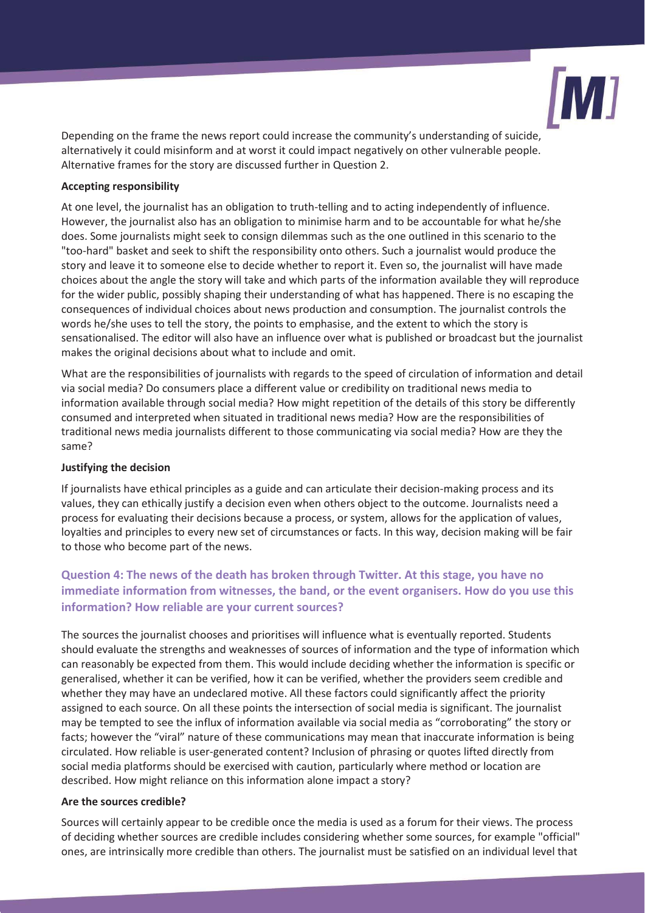

Depending on the frame the news report could increase the community's understanding of suicide, alternatively it could misinform and at worst it could impact negatively on other vulnerable people. Alternative frames for the story are discussed further in Question 2.

#### **Accepting responsibility**

At one level, the journalist has an obligation to truth-telling and to acting independently of influence. However, the journalist also has an obligation to minimise harm and to be accountable for what he/she does. Some journalists might seek to consign dilemmas such as the one outlined in this scenario to the "too-hard" basket and seek to shift the responsibility onto others. Such a journalist would produce the story and leave it to someone else to decide whether to report it. Even so, the journalist will have made choices about the angle the story will take and which parts of the information available they will reproduce for the wider public, possibly shaping their understanding of what has happened. There is no escaping the consequences of individual choices about news production and consumption. The journalist controls the words he/she uses to tell the story, the points to emphasise, and the extent to which the story is sensationalised. The editor will also have an influence over what is published or broadcast but the journalist makes the original decisions about what to include and omit.

What are the responsibilities of journalists with regards to the speed of circulation of information and detail via social media? Do consumers place a different value or credibility on traditional news media to information available through social media? How might repetition of the details of this story be differently consumed and interpreted when situated in traditional news media? How are the responsibilities of traditional news media journalists different to those communicating via social media? How are they the same?

## **Justifying the decision**

If journalists have ethical principles as a guide and can articulate their decision-making process and its values, they can ethically justify a decision even when others object to the outcome. Journalists need a process for evaluating their decisions because a process, or system, allows for the application of values, loyalties and principles to every new set of circumstances or facts. In this way, decision making will be fair to those who become part of the news.

# **Question 4: The news of the death has broken through Twitter. At this stage, you have no immediate information from witnesses, the band, or the event organisers. How do you use this information? How reliable are your current sources?**

The sources the journalist chooses and prioritises will influence what is eventually reported. Students should evaluate the strengths and weaknesses of sources of information and the type of information which can reasonably be expected from them. This would include deciding whether the information is specific or generalised, whether it can be verified, how it can be verified, whether the providers seem credible and whether they may have an undeclared motive. All these factors could significantly affect the priority assigned to each source. On all these points the intersection of social media is significant. The journalist may be tempted to see the influx of information available via social media as "corroborating" the story or facts; however the "viral" nature of these communications may mean that inaccurate information is being circulated. How reliable is user-generated content? Inclusion of phrasing or quotes lifted directly from social media platforms should be exercised with caution, particularly where method or location are described. How might reliance on this information alone impact a story?

## **Are the sources credible?**

Sources will certainly appear to be credible once the media is used as a forum for their views. The process of deciding whether sources are credible includes considering whether some sources, for example "official" ones, are intrinsically more credible than others. The journalist must be satisfied on an individual level that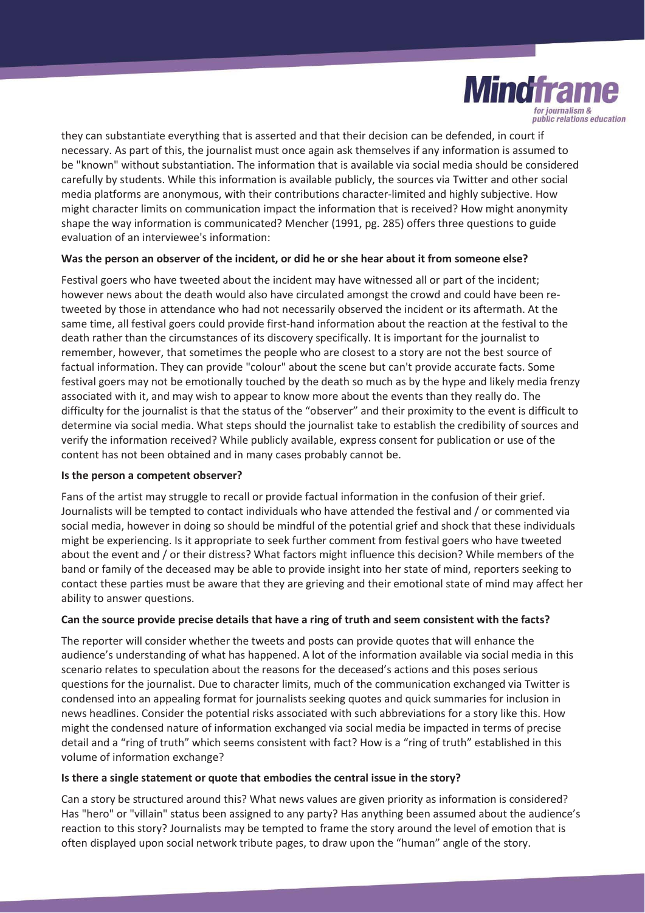

they can substantiate everything that is asserted and that their decision can be defended, in court if necessary. As part of this, the journalist must once again ask themselves if any information is assumed to be "known" without substantiation. The information that is available via social media should be considered carefully by students. While this information is available publicly, the sources via Twitter and other social media platforms are anonymous, with their contributions character-limited and highly subjective. How might character limits on communication impact the information that is received? How might anonymity shape the way information is communicated? Mencher (1991, pg. 285) offers three questions to guide evaluation of an interviewee's information:

## **Was the person an observer of the incident, or did he or she hear about it from someone else?**

Festival goers who have tweeted about the incident may have witnessed all or part of the incident; however news about the death would also have circulated amongst the crowd and could have been retweeted by those in attendance who had not necessarily observed the incident or its aftermath. At the same time, all festival goers could provide first-hand information about the reaction at the festival to the death rather than the circumstances of its discovery specifically. It is important for the journalist to remember, however, that sometimes the people who are closest to a story are not the best source of factual information. They can provide "colour" about the scene but can't provide accurate facts. Some festival goers may not be emotionally touched by the death so much as by the hype and likely media frenzy associated with it, and may wish to appear to know more about the events than they really do. The difficulty for the journalist is that the status of the "observer" and their proximity to the event is difficult to determine via social media. What steps should the journalist take to establish the credibility of sources and verify the information received? While publicly available, express consent for publication or use of the content has not been obtained and in many cases probably cannot be.

## **Is the person a competent observer?**

Fans of the artist may struggle to recall or provide factual information in the confusion of their grief. Journalists will be tempted to contact individuals who have attended the festival and / or commented via social media, however in doing so should be mindful of the potential grief and shock that these individuals might be experiencing. Is it appropriate to seek further comment from festival goers who have tweeted about the event and / or their distress? What factors might influence this decision? While members of the band or family of the deceased may be able to provide insight into her state of mind, reporters seeking to contact these parties must be aware that they are grieving and their emotional state of mind may affect her ability to answer questions.

## **Can the source provide precise details that have a ring of truth and seem consistent with the facts?**

The reporter will consider whether the tweets and posts can provide quotes that will enhance the audience's understanding of what has happened. A lot of the information available via social media in this scenario relates to speculation about the reasons for the deceased's actions and this poses serious questions for the journalist. Due to character limits, much of the communication exchanged via Twitter is condensed into an appealing format for journalists seeking quotes and quick summaries for inclusion in news headlines. Consider the potential risks associated with such abbreviations for a story like this. How might the condensed nature of information exchanged via social media be impacted in terms of precise detail and a "ring of truth" which seems consistent with fact? How is a "ring of truth" established in this volume of information exchange?

## **Is there a single statement or quote that embodies the central issue in the story?**

Can a story be structured around this? What news values are given priority as information is considered? Has "hero" or "villain" status been assigned to any party? Has anything been assumed about the audience's reaction to this story? Journalists may be tempted to frame the story around the level of emotion that is often displayed upon social network tribute pages, to draw upon the "human" angle of the story.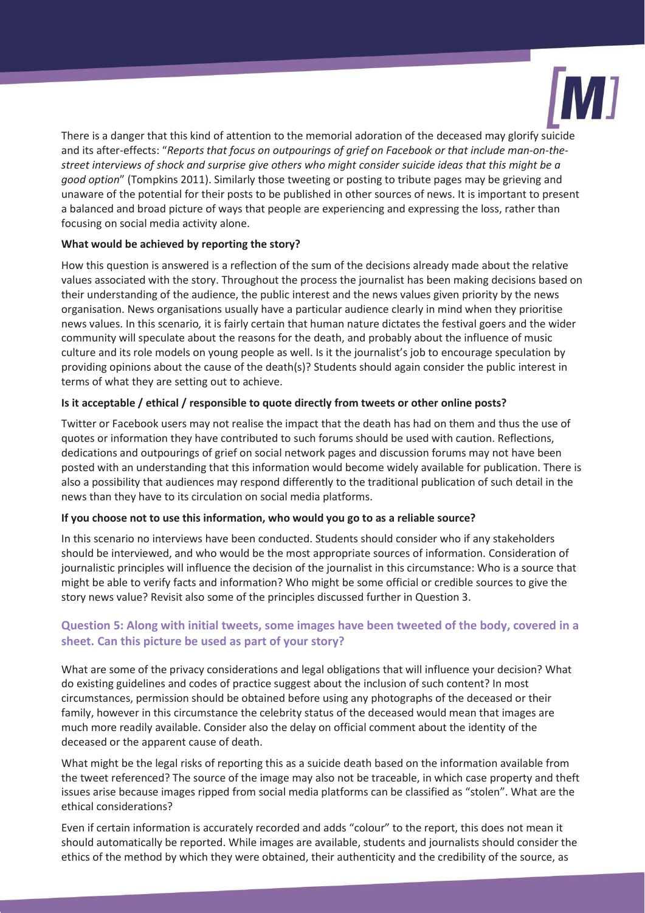

There is a danger that this kind of attention to the memorial adoration of the deceased may glorify suicide and its after-effects: "*Reports that focus on outpourings of grief on Facebook or that include man-on-thestreet interviews of shock and surprise give others who might consider suicide ideas that this might be a good option*" (Tompkins 2011). Similarly those tweeting or posting to tribute pages may be grieving and unaware of the potential for their posts to be published in other sources of news. It is important to present a balanced and broad picture of ways that people are experiencing and expressing the loss, rather than focusing on social media activity alone.

# **What would be achieved by reporting the story?**

How this question is answered is a reflection of the sum of the decisions already made about the relative values associated with the story. Throughout the process the journalist has been making decisions based on their understanding of the audience, the public interest and the news values given priority by the news organisation. News organisations usually have a particular audience clearly in mind when they prioritise news values. In this scenario*,* it is fairly certain that human nature dictates the festival goers and the wider community will speculate about the reasons for the death, and probably about the influence of music culture and its role models on young people as well. Is it the journalist's job to encourage speculation by providing opinions about the cause of the death(s)? Students should again consider the public interest in terms of what they are setting out to achieve.

## **Is it acceptable / ethical / responsible to quote directly from tweets or other online posts?**

Twitter or Facebook users may not realise the impact that the death has had on them and thus the use of quotes or information they have contributed to such forums should be used with caution. Reflections, dedications and outpourings of grief on social network pages and discussion forums may not have been posted with an understanding that this information would become widely available for publication. There is also a possibility that audiences may respond differently to the traditional publication of such detail in the news than they have to its circulation on social media platforms.

## **If you choose not to use this information, who would you go to as a reliable source?**

In this scenario no interviews have been conducted. Students should consider who if any stakeholders should be interviewed, and who would be the most appropriate sources of information. Consideration of journalistic principles will influence the decision of the journalist in this circumstance: Who is a source that might be able to verify facts and information? Who might be some official or credible sources to give the story news value? Revisit also some of the principles discussed further in Question 3.

# **Question 5: Along with initial tweets, some images have been tweeted of the body, covered in a sheet. Can this picture be used as part of your story?**

What are some of the privacy considerations and legal obligations that will influence your decision? What do existing guidelines and codes of practice suggest about the inclusion of such content? In most circumstances, permission should be obtained before using any photographs of the deceased or their family, however in this circumstance the celebrity status of the deceased would mean that images are much more readily available. Consider also the delay on official comment about the identity of the deceased or the apparent cause of death.

What might be the legal risks of reporting this as a suicide death based on the information available from the tweet referenced? The source of the image may also not be traceable, in which case property and theft issues arise because images ripped from social media platforms can be classified as "stolen". What are the ethical considerations?

Even if certain information is accurately recorded and adds "colour" to the report, this does not mean it should automatically be reported. While images are available, students and journalists should consider the ethics of the method by which they were obtained, their authenticity and the credibility of the source, as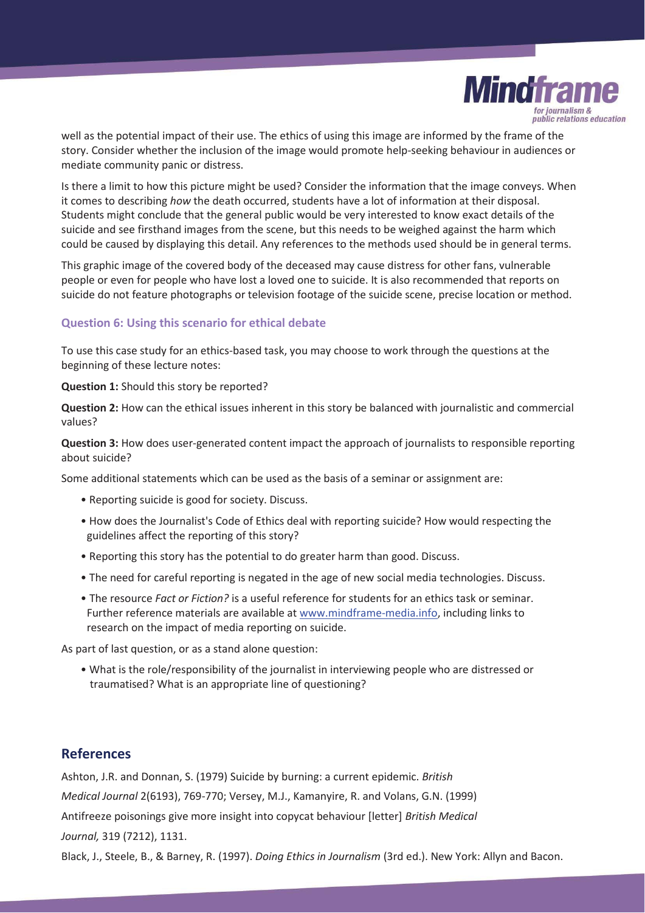

well as the potential impact of their use. The ethics of using this image are informed by the frame of the story. Consider whether the inclusion of the image would promote help-seeking behaviour in audiences or mediate community panic or distress.

Is there a limit to how this picture might be used? Consider the information that the image conveys. When it comes to describing *how* the death occurred, students have a lot of information at their disposal. Students might conclude that the general public would be very interested to know exact details of the suicide and see firsthand images from the scene, but this needs to be weighed against the harm which could be caused by displaying this detail. Any references to the methods used should be in general terms.

This graphic image of the covered body of the deceased may cause distress for other fans, vulnerable people or even for people who have lost a loved one to suicide. It is also recommended that reports on suicide do not feature photographs or television footage of the suicide scene, precise location or method.

## **Question 6: Using this scenario for ethical debate**

To use this case study for an ethics-based task, you may choose to work through the questions at the beginning of these lecture notes:

**Question 1:** Should this story be reported?

**Question 2:** How can the ethical issues inherent in this story be balanced with journalistic and commercial values?

**Question 3:** How does user-generated content impact the approach of journalists to responsible reporting about suicide?

Some additional statements which can be used as the basis of a seminar or assignment are:

- Reporting suicide is good for society. Discuss.
- How does the Journalist's Code of Ethics deal with reporting suicide? How would respecting the guidelines affect the reporting of this story?
- Reporting this story has the potential to do greater harm than good. Discuss.
- The need for careful reporting is negated in the age of new social media technologies. Discuss.
- The resource *Fact or Fiction?* is a useful reference for students for an ethics task or seminar. Further reference materials are available at www.mindframe-media.info, including links to research on the impact of media reporting on suicide.

As part of last question, or as a stand alone question:

• What is the role/responsibility of the journalist in interviewing people who are distressed or traumatised? What is an appropriate line of questioning?

# **References**

Ashton, J.R. and Donnan, S. (1979) Suicide by burning: a current epidemic. *British Medical Journal* 2(6193), 769-770; Versey, M.J., Kamanyire, R. and Volans, G.N. (1999) Antifreeze poisonings give more insight into copycat behaviour [letter] *British Medical Journal,* 319 (7212), 1131.

Black, J., Steele, B., & Barney, R. (1997). *Doing Ethics in Journalism* (3rd ed.). New York: Allyn and Bacon.